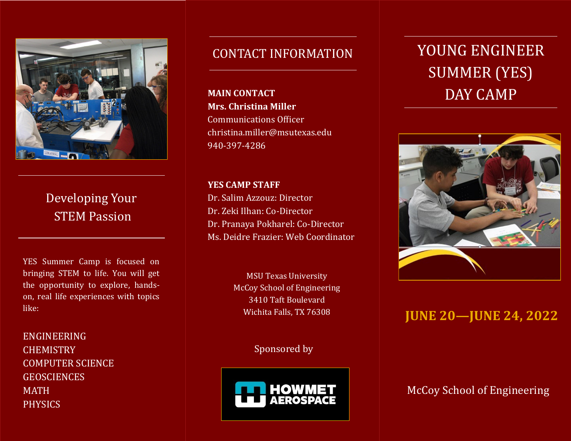

Developing Your STEM Passion

YES Summer Camp is focused on bringing STEM to life. You will get the opportunity to explore, handson, real life experiences with topics like:

**graphic.** Phone: 555-555-5555 ENGINEERING **CHEMISTRY** COMPUTER SCIENCE **GEOSCIENCES** MATH PHYSICS

#### CONTACT INFORMATION

**MAIN CONTACT Mrs. Christina Miller** Communications Officer christina.miller@msutexas.edu 940-397-4286

**YES CAMP STAFF** Dr. Salim Azzouz: Director Dr. Zeki Ilhan: Co-Director Dr. Pranaya Pokharel: Co-Director Ms. Deidre Frazier: Web Coordinator

Wichita Falls, TX 76308 McCoy School of Engineering MSU Texas University 3410 Taft Boulevard

> $rad \, \text{hr}$ Sponsored by



# **Product SUMMER (YES)** YOUNG ENGINEER DAY CAMP



### **JUNE 20—JUNE 24, 2022**

McCoy School of Engineering